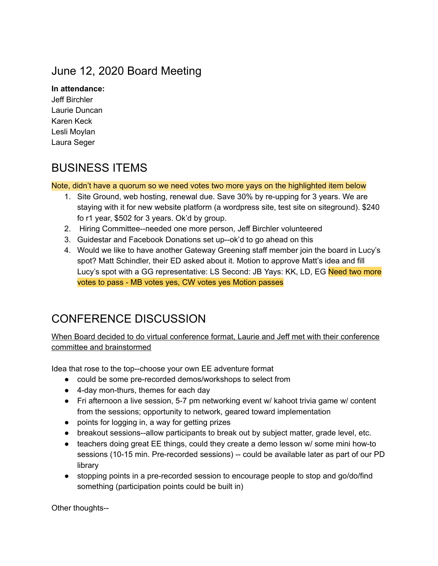## June 12, 2020 Board Meeting

### **In attendance:**

Jeff Birchler Laurie Duncan Karen Keck Lesli Moylan Laura Seger

## BUSINESS ITEMS

#### Note, didn't have a quorum so we need votes two more yays on the highlighted item below

- 1. Site Ground, web hosting, renewal due. Save 30% by re-upping for 3 years. We are staying with it for new website platform (a wordpress site, test site on siteground). \$240 fo r1 year, \$502 for 3 years. Ok'd by group.
- 2. Hiring Committee--needed one more person, Jeff Birchler volunteered
- 3. Guidestar and Facebook Donations set up--ok'd to go ahead on this
- 4. Would we like to have another Gateway Greening staff member join the board in Lucy's spot? Matt Schindler, their ED asked about it. Motion to approve Matt's idea and fill Lucy's spot with a GG representative: LS Second: JB Yays: KK, LD, EG Need two more votes to pass - MB votes yes, CW votes yes Motion passes

# CONFERENCE DISCUSSION

When Board decided to do virtual conference format, Laurie and Jeff met with their conference committee and brainstormed

Idea that rose to the top--choose your own EE adventure format

- could be some pre-recorded demos/workshops to select from
- 4-day mon-thurs, themes for each day
- Fri afternoon a live session, 5-7 pm networking event w/ kahoot trivia game w/ content from the sessions; opportunity to network, geared toward implementation
- points for logging in, a way for getting prizes
- breakout sessions--allow participants to break out by subject matter, grade level, etc.
- teachers doing great EE things, could they create a demo lesson w/ some mini how-to sessions (10-15 min. Pre-recorded sessions) -- could be available later as part of our PD library
- stopping points in a pre-recorded session to encourage people to stop and go/do/find something (participation points could be built in)

Other thoughts--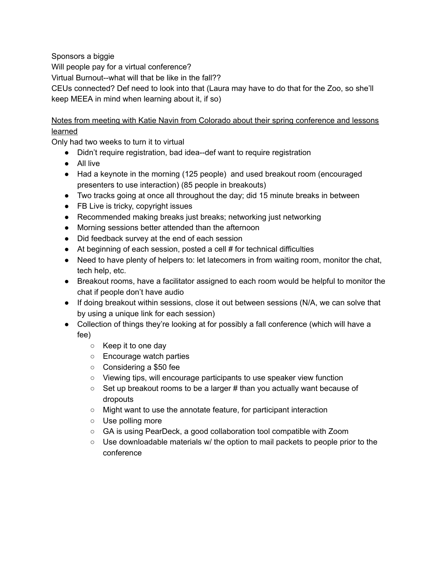Sponsors a biggie

Will people pay for a virtual conference?

Virtual Burnout--what will that be like in the fall??

CEUs connected? Def need to look into that (Laura may have to do that for the Zoo, so she'll keep MEEA in mind when learning about it, if so)

Notes from meeting with Katie Navin from Colorado about their spring conference and lessons learned

Only had two weeks to turn it to virtual

- Didn't require registration, bad idea--def want to require registration
- All live
- Had a keynote in the morning (125 people) and used breakout room (encouraged presenters to use interaction) (85 people in breakouts)
- Two tracks going at once all throughout the day; did 15 minute breaks in between
- FB Live is tricky, copyright issues
- Recommended making breaks just breaks; networking just networking
- Morning sessions better attended than the afternoon
- Did feedback survey at the end of each session
- At beginning of each session, posted a cell # for technical difficulties
- Need to have plenty of helpers to: let latecomers in from waiting room, monitor the chat, tech help, etc.
- Breakout rooms, have a facilitator assigned to each room would be helpful to monitor the chat if people don't have audio
- If doing breakout within sessions, close it out between sessions (N/A, we can solve that by using a unique link for each session)
- Collection of things they're looking at for possibly a fall conference (which will have a fee)
	- Keep it to one day
	- Encourage watch parties
	- Considering a \$50 fee
	- Viewing tips, will encourage participants to use speaker view function
	- Set up breakout rooms to be a larger # than you actually want because of dropouts
	- Might want to use the annotate feature, for participant interaction
	- Use polling more
	- GA is using PearDeck, a good collaboration tool compatible with Zoom
	- $\circ$  Use downloadable materials w/ the option to mail packets to people prior to the conference